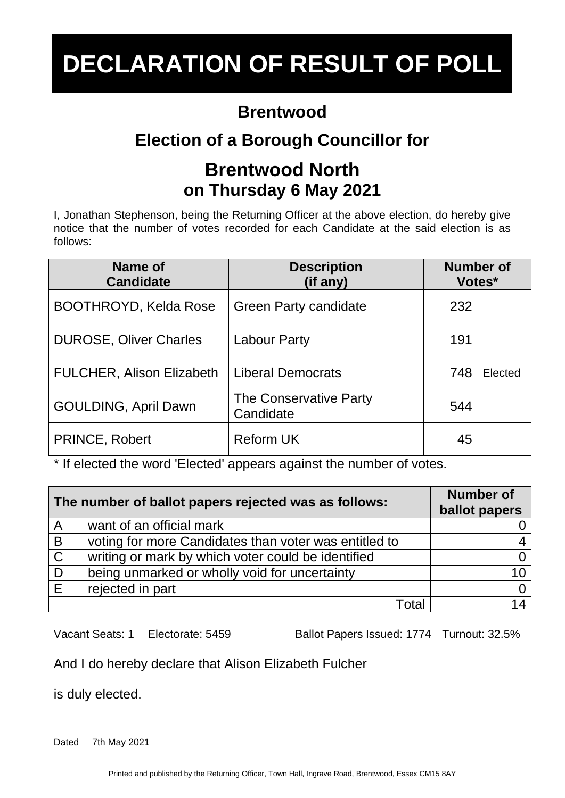#### **Brentwood**

# **Election of a Borough Councillor for**

#### **Brentwood North on Thursday 6 May 2021**

I, Jonathan Stephenson, being the Returning Officer at the above election, do hereby give notice that the number of votes recorded for each Candidate at the said election is as follows:

| Name of<br><b>Candidate</b>      | <b>Description</b><br>(if any)      | <b>Number of</b><br>Votes* |
|----------------------------------|-------------------------------------|----------------------------|
| <b>BOOTHROYD, Kelda Rose</b>     | <b>Green Party candidate</b>        | 232                        |
| <b>DUROSE, Oliver Charles</b>    | Labour Party                        | 191                        |
| <b>FULCHER, Alison Elizabeth</b> | <b>Liberal Democrats</b>            | 748<br>Elected             |
| GOULDING, April Dawn             | The Conservative Party<br>Candidate | 544                        |
| <b>PRINCE, Robert</b>            | <b>Reform UK</b>                    | 45                         |

\* If elected the word 'Elected' appears against the number of votes.

| The number of ballot papers rejected was as follows: |                                                       | <b>Number of</b><br>ballot papers |
|------------------------------------------------------|-------------------------------------------------------|-----------------------------------|
| A                                                    | want of an official mark                              |                                   |
| B                                                    | voting for more Candidates than voter was entitled to |                                   |
| $\mathsf{C}$                                         | writing or mark by which voter could be identified    |                                   |
| D                                                    | being unmarked or wholly void for uncertainty         |                                   |
| F                                                    | rejected in part                                      |                                   |
|                                                      | Total                                                 |                                   |

Vacant Seats: 1 Electorate: 5459 Ballot Papers Issued: 1774 Turnout: 32.5%

#### And I do hereby declare that Alison Elizabeth Fulcher

is duly elected.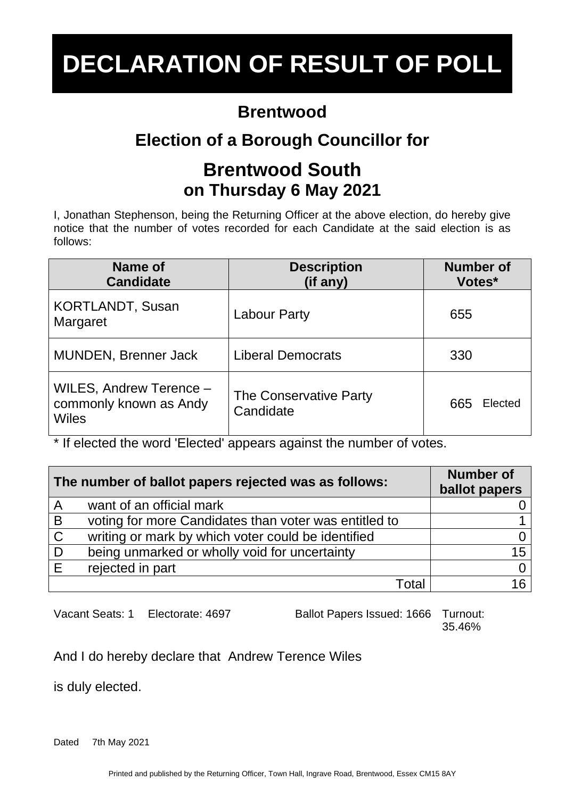#### **Brentwood**

## **Election of a Borough Councillor for**

#### **Brentwood South on Thursday 6 May 2021**

I, Jonathan Stephenson, being the Returning Officer at the above election, do hereby give notice that the number of votes recorded for each Candidate at the said election is as follows:

| Name of<br><b>Candidate</b>                                       | <b>Description</b><br>(if any)      | <b>Number of</b><br>Votes* |
|-------------------------------------------------------------------|-------------------------------------|----------------------------|
| <b>KORTLANDT, Susan</b><br>Margaret                               | <b>Labour Party</b>                 | 655                        |
| MUNDEN, Brenner Jack                                              | <b>Liberal Democrats</b>            | 330                        |
| WILES, Andrew Terence -<br>commonly known as Andy<br><b>Wiles</b> | The Conservative Party<br>Candidate | 665<br>Elected             |

\* If elected the word 'Elected' appears against the number of votes.

| The number of ballot papers rejected was as follows: |                                                       | <b>Number of</b><br>ballot papers |
|------------------------------------------------------|-------------------------------------------------------|-----------------------------------|
| $\overline{A}$                                       | want of an official mark                              |                                   |
| B                                                    | voting for more Candidates than voter was entitled to |                                   |
| $\mathsf{C}$                                         | writing or mark by which voter could be identified    |                                   |
| D                                                    | being unmarked or wholly void for uncertainty         | 15                                |
| E                                                    | rejected in part                                      |                                   |
|                                                      | Total                                                 |                                   |

Vacant Seats: 1 Electorate: 4697 Ballot Papers Issued: 1666 Turnout:

35.46%

And I do hereby declare that Andrew Terence Wiles

is duly elected.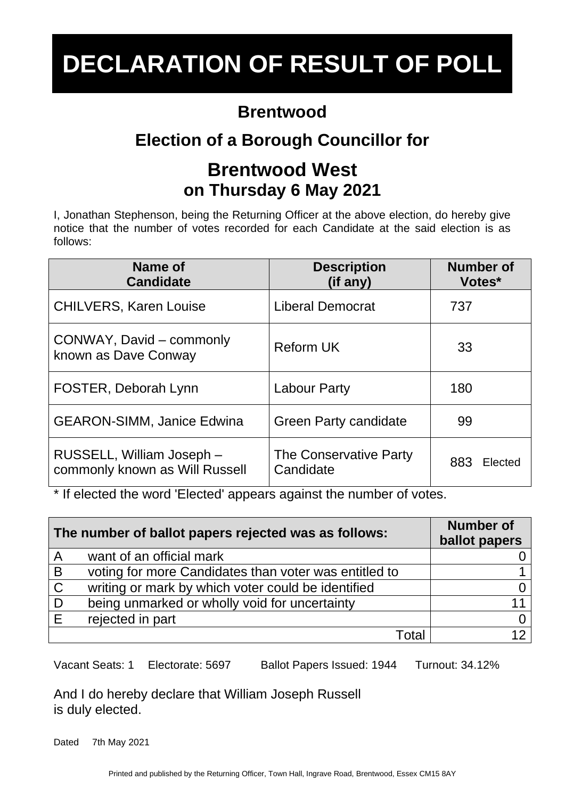#### **Brentwood**

# **Election of a Borough Councillor for**

### **Brentwood West on Thursday 6 May 2021**

I, Jonathan Stephenson, being the Returning Officer at the above election, do hereby give notice that the number of votes recorded for each Candidate at the said election is as follows:

| Name of<br><b>Candidate</b>                                 | <b>Description</b><br>(if any)      | <b>Number of</b><br>Votes* |
|-------------------------------------------------------------|-------------------------------------|----------------------------|
| <b>CHILVERS, Karen Louise</b>                               | <b>Liberal Democrat</b>             | 737                        |
| CONWAY, David – commonly<br>known as Dave Conway            | <b>Reform UK</b>                    | 33                         |
| FOSTER, Deborah Lynn                                        | <b>Labour Party</b>                 | 180                        |
| <b>GEARON-SIMM, Janice Edwina</b>                           | <b>Green Party candidate</b>        | 99                         |
| RUSSELL, William Joseph -<br>commonly known as Will Russell | The Conservative Party<br>Candidate | 883<br>Elected             |

\* If elected the word 'Elected' appears against the number of votes.

| The number of ballot papers rejected was as follows: |                                                       | <b>Number of</b><br>ballot papers |
|------------------------------------------------------|-------------------------------------------------------|-----------------------------------|
| A                                                    | want of an official mark                              |                                   |
| B                                                    | voting for more Candidates than voter was entitled to |                                   |
| $\mathsf{C}$                                         | writing or mark by which voter could be identified    |                                   |
| D                                                    | being unmarked or wholly void for uncertainty         |                                   |
| E                                                    | rejected in part                                      |                                   |
|                                                      | Total                                                 |                                   |

Vacant Seats: 1 Electorate: 5697 Ballot Papers Issued: 1944 Turnout: 34.12%

And I do hereby declare that William Joseph Russell is duly elected.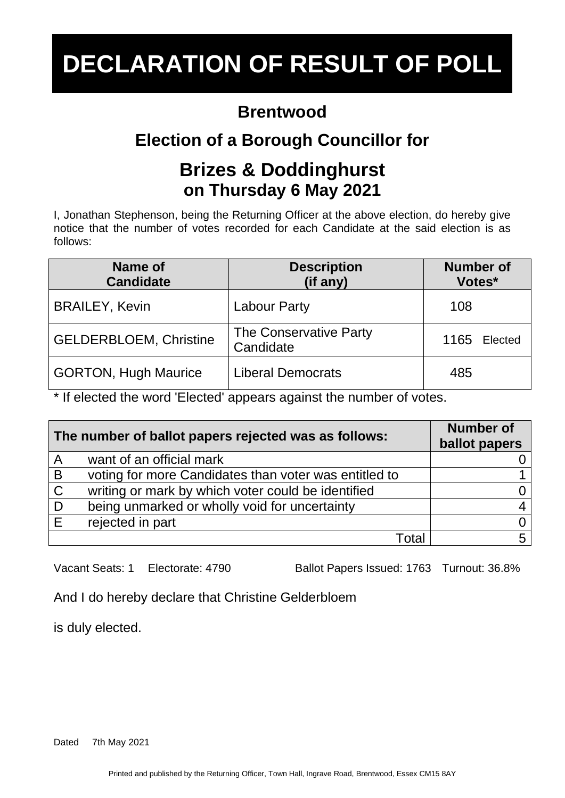#### **Brentwood**

# **Election of a Borough Councillor for**

#### **Brizes & Doddinghurst on Thursday 6 May 2021**

I, Jonathan Stephenson, being the Returning Officer at the above election, do hereby give notice that the number of votes recorded for each Candidate at the said election is as follows:

| Name of<br><b>Candidate</b>   | <b>Description</b><br>(if any)             | <b>Number of</b><br>Votes* |
|-------------------------------|--------------------------------------------|----------------------------|
| <b>BRAILEY, Kevin</b>         | <b>Labour Party</b>                        | 108                        |
| <b>GELDERBLOEM, Christine</b> | <b>The Conservative Party</b><br>Candidate | 1165<br>Elected            |
| <b>GORTON, Hugh Maurice</b>   | <b>Liberal Democrats</b>                   | 485                        |

\* If elected the word 'Elected' appears against the number of votes.

| The number of ballot papers rejected was as follows: |                                                       | <b>Number of</b><br>ballot papers |
|------------------------------------------------------|-------------------------------------------------------|-----------------------------------|
| $\overline{\mathsf{A}}$                              | want of an official mark                              |                                   |
| B                                                    | voting for more Candidates than voter was entitled to |                                   |
| $\mathbf C$                                          | writing or mark by which voter could be identified    |                                   |
| D                                                    | being unmarked or wholly void for uncertainty         |                                   |
| E                                                    | rejected in part                                      |                                   |
|                                                      | ⊺otal                                                 |                                   |

Vacant Seats: 1 Electorate: 4790 Ballot Papers Issued: 1763 Turnout: 36.8%

And I do hereby declare that Christine Gelderbloem

is duly elected.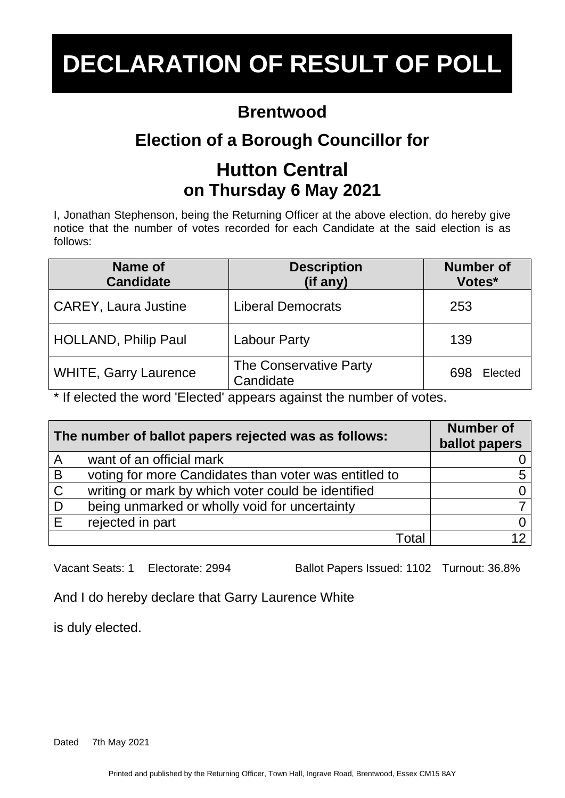#### **Brentwood**

# **Election of a Borough Councillor for**

### **Hutton Central on Thursday 6 May 2021**

I, Jonathan Stephenson, being the Returning Officer at the above election, do hereby give notice that the number of votes recorded for each Candidate at the said election is as follows:

| Name of<br><b>Candidate</b>  | <b>Description</b><br>(if any)      | <b>Number of</b><br>Votes* |
|------------------------------|-------------------------------------|----------------------------|
| <b>CAREY, Laura Justine</b>  | <b>Liberal Democrats</b>            | 253                        |
| <b>HOLLAND, Philip Paul</b>  | <b>Labour Party</b>                 | 139                        |
| <b>WHITE, Garry Laurence</b> | The Conservative Party<br>Candidate | Elected<br>698             |

\* If elected the word 'Elected' appears against the number of votes.

| The number of ballot papers rejected was as follows: |                                                       | <b>Number of</b><br>ballot papers |
|------------------------------------------------------|-------------------------------------------------------|-----------------------------------|
| A                                                    | want of an official mark                              |                                   |
| B                                                    | voting for more Candidates than voter was entitled to |                                   |
| $\mathsf{C}$                                         | writing or mark by which voter could be identified    |                                   |
| . D                                                  | being unmarked or wholly void for uncertainty         |                                   |
| E                                                    | rejected in part                                      |                                   |
|                                                      | Total                                                 |                                   |

Vacant Seats: 1 Electorate: 2994 Ballot Papers Issued: 1102 Turnout: 36.8%

And I do hereby declare that Garry Laurence White

is duly elected.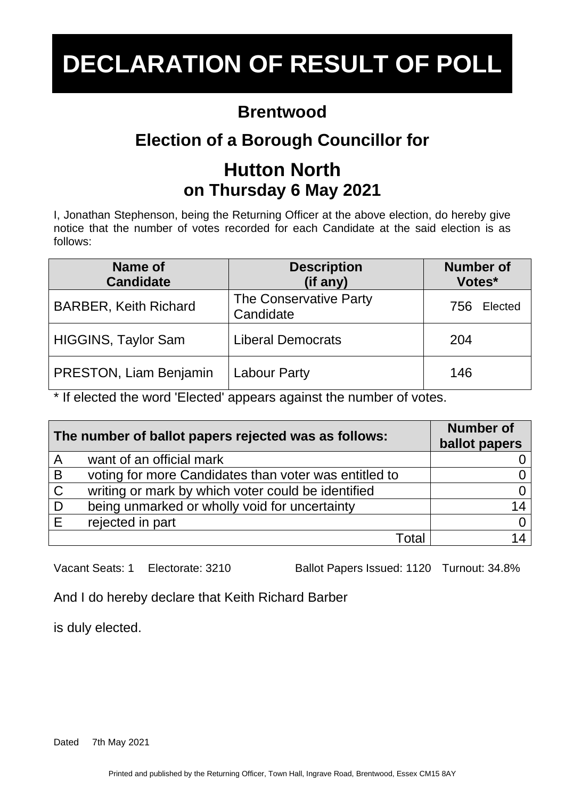### **Brentwood**

# **Election of a Borough Councillor for**

# **Hutton North on Thursday 6 May 2021**

I, Jonathan Stephenson, being the Returning Officer at the above election, do hereby give notice that the number of votes recorded for each Candidate at the said election is as follows:

| Name of<br><b>Candidate</b>  | <b>Description</b><br>(if any)             | <b>Number of</b><br>Votes* |
|------------------------------|--------------------------------------------|----------------------------|
| <b>BARBER, Keith Richard</b> | <b>The Conservative Party</b><br>Candidate | Elected<br>756             |
| <b>HIGGINS, Taylor Sam</b>   | <b>Liberal Democrats</b>                   | 204                        |
| PRESTON, Liam Benjamin       | <b>Labour Party</b>                        | 146                        |

\* If elected the word 'Elected' appears against the number of votes.

| The number of ballot papers rejected was as follows: |                                                       | <b>Number of</b><br>ballot papers |
|------------------------------------------------------|-------------------------------------------------------|-----------------------------------|
| $\overline{A}$                                       | want of an official mark                              |                                   |
| B                                                    | voting for more Candidates than voter was entitled to |                                   |
| $\mathsf{C}$                                         | writing or mark by which voter could be identified    |                                   |
| D                                                    | being unmarked or wholly void for uncertainty         | 14                                |
| E                                                    | rejected in part                                      |                                   |
|                                                      | Total                                                 |                                   |

Vacant Seats: 1 Electorate: 3210 Ballot Papers Issued: 1120 Turnout: 34.8%

And I do hereby declare that Keith Richard Barber

is duly elected.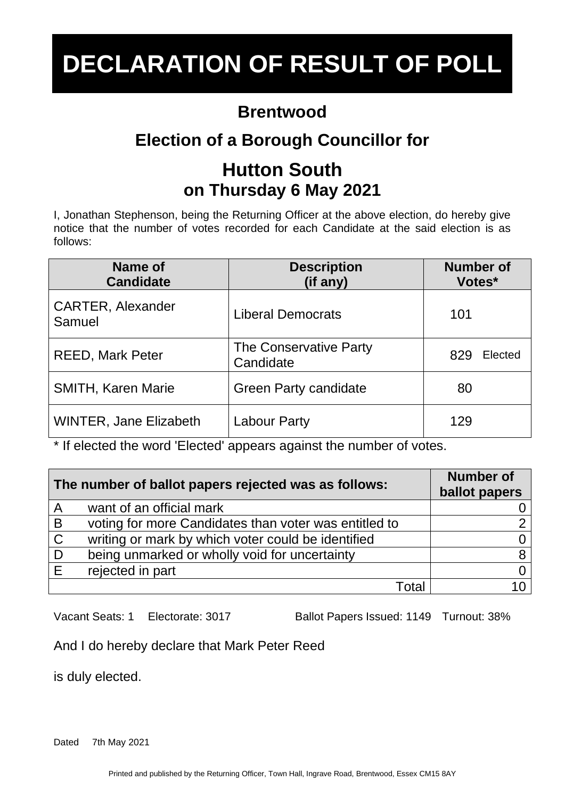### **Brentwood**

# **Election of a Borough Councillor for**

# **Hutton South on Thursday 6 May 2021**

I, Jonathan Stephenson, being the Returning Officer at the above election, do hereby give notice that the number of votes recorded for each Candidate at the said election is as follows:

| Name of<br><b>Candidate</b>        | <b>Description</b><br>(if any)      | <b>Number of</b><br>Votes* |
|------------------------------------|-------------------------------------|----------------------------|
| <b>CARTER, Alexander</b><br>Samuel | <b>Liberal Democrats</b>            | 101                        |
| <b>REED, Mark Peter</b>            | The Conservative Party<br>Candidate | 829<br>Elected             |
| <b>SMITH, Karen Marie</b>          | <b>Green Party candidate</b>        | 80                         |
| <b>WINTER, Jane Elizabeth</b>      | Labour Party                        | 129                        |

\* If elected the word 'Elected' appears against the number of votes.

| The number of ballot papers rejected was as follows: |                                                       | <b>Number of</b><br>ballot papers |
|------------------------------------------------------|-------------------------------------------------------|-----------------------------------|
| $\overline{A}$                                       | want of an official mark                              |                                   |
| B                                                    | voting for more Candidates than voter was entitled to |                                   |
| $\mathsf{C}$                                         | writing or mark by which voter could be identified    |                                   |
| D                                                    | being unmarked or wholly void for uncertainty         |                                   |
| E                                                    | rejected in part                                      |                                   |
|                                                      | Total                                                 |                                   |

Vacant Seats: 1 Electorate: 3017 Ballot Papers Issued: 1149 Turnout: 38%

And I do hereby declare that Mark Peter Reed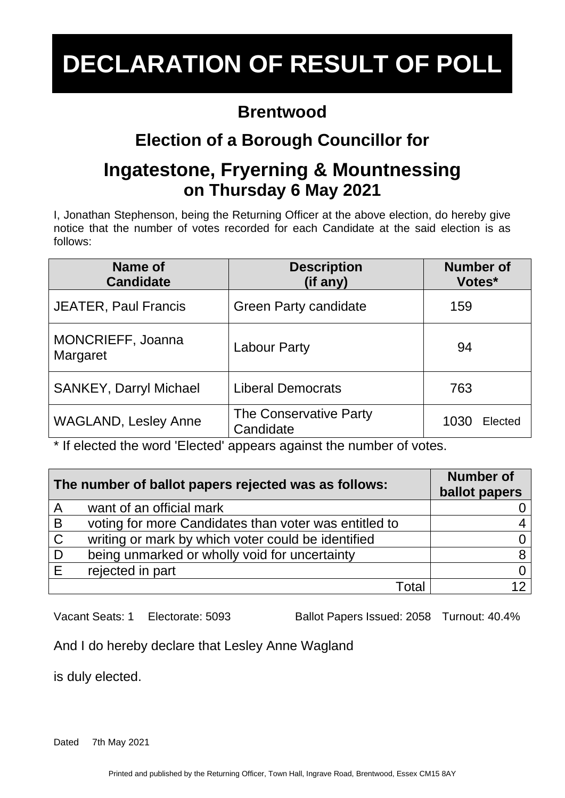#### **Brentwood**

# **Election of a Borough Councillor for**

### **Ingatestone, Fryerning & Mountnessing on Thursday 6 May 2021**

I, Jonathan Stephenson, being the Returning Officer at the above election, do hereby give notice that the number of votes recorded for each Candidate at the said election is as follows:

| Name of<br><b>Candidate</b>   | <b>Description</b><br>(if any)      | <b>Number of</b><br>Votes* |
|-------------------------------|-------------------------------------|----------------------------|
| <b>JEATER, Paul Francis</b>   | <b>Green Party candidate</b>        | 159                        |
| MONCRIEFF, Joanna<br>Margaret | <b>Labour Party</b>                 | 94                         |
| <b>SANKEY, Darryl Michael</b> | <b>Liberal Democrats</b>            | 763                        |
| <b>WAGLAND, Lesley Anne</b>   | The Conservative Party<br>Candidate | 1030<br>Elected            |

\* If elected the word 'Elected' appears against the number of votes.

| The number of ballot papers rejected was as follows: |                                                       | <b>Number of</b><br>ballot papers |
|------------------------------------------------------|-------------------------------------------------------|-----------------------------------|
| A                                                    | want of an official mark                              |                                   |
| B                                                    | voting for more Candidates than voter was entitled to |                                   |
| $\mathsf C$                                          | writing or mark by which voter could be identified    |                                   |
| . D                                                  | being unmarked or wholly void for uncertainty         | 8                                 |
| E                                                    | rejected in part                                      |                                   |
|                                                      | Total                                                 |                                   |

Vacant Seats: 1 Electorate: 5093 Ballot Papers Issued: 2058 Turnout: 40.4%

And I do hereby declare that Lesley Anne Wagland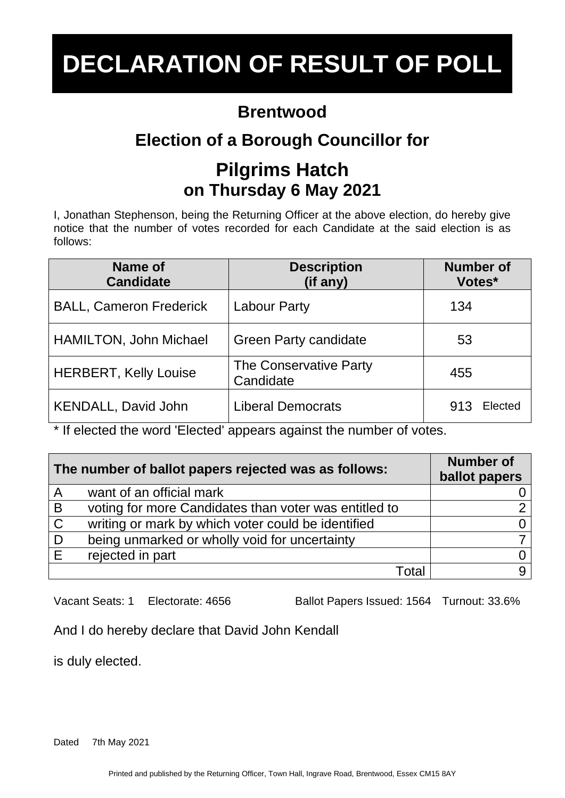### **Brentwood**

# **Election of a Borough Councillor for**

### **Pilgrims Hatch on Thursday 6 May 2021**

I, Jonathan Stephenson, being the Returning Officer at the above election, do hereby give notice that the number of votes recorded for each Candidate at the said election is as follows:

| Name of<br><b>Candidate</b>    | <b>Description</b><br>(if any)      | <b>Number of</b><br>Votes* |
|--------------------------------|-------------------------------------|----------------------------|
| <b>BALL, Cameron Frederick</b> | <b>Labour Party</b>                 | 134                        |
| <b>HAMILTON, John Michael</b>  | <b>Green Party candidate</b>        | 53                         |
| <b>HERBERT, Kelly Louise</b>   | The Conservative Party<br>Candidate | 455                        |
| KENDALL, David John            | <b>Liberal Democrats</b>            | Elected<br>913             |

\* If elected the word 'Elected' appears against the number of votes.

| The number of ballot papers rejected was as follows: |                                                       | <b>Number of</b><br>ballot papers |
|------------------------------------------------------|-------------------------------------------------------|-----------------------------------|
| A                                                    | want of an official mark                              |                                   |
| B                                                    | voting for more Candidates than voter was entitled to |                                   |
| $\mathsf{C}$                                         | writing or mark by which voter could be identified    |                                   |
| D                                                    | being unmarked or wholly void for uncertainty         |                                   |
| E                                                    | rejected in part                                      |                                   |
|                                                      | Total                                                 |                                   |

Vacant Seats: 1 Electorate: 4656 Ballot Papers Issued: 1564 Turnout: 33.6%

And I do hereby declare that David John Kendall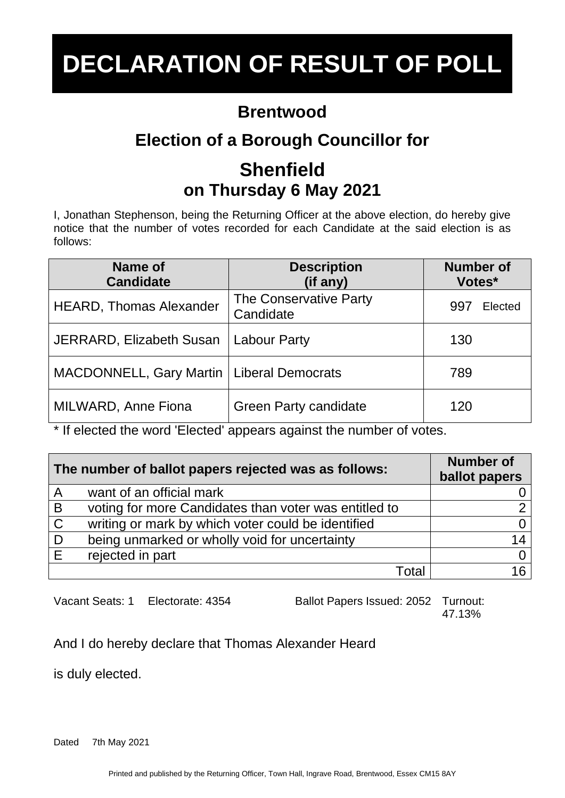## **Brentwood**

# **Election of a Borough Councillor for**

# **Shenfield on Thursday 6 May 2021**

I, Jonathan Stephenson, being the Returning Officer at the above election, do hereby give notice that the number of votes recorded for each Candidate at the said election is as follows:

| Name of<br><b>Candidate</b>                 | <b>Description</b><br>(if any)      | <b>Number of</b><br>Votes* |
|---------------------------------------------|-------------------------------------|----------------------------|
| <b>HEARD, Thomas Alexander</b>              | The Conservative Party<br>Candidate | Elected<br>997             |
| <b>JERRARD, Elizabeth Susan</b>             | <b>Labour Party</b>                 | 130                        |
| MACDONNELL, Gary Martin   Liberal Democrats |                                     | 789                        |
| MILWARD, Anne Fiona                         | <b>Green Party candidate</b>        | 120                        |

\* If elected the word 'Elected' appears against the number of votes.

| The number of ballot papers rejected was as follows: |                                                       | <b>Number of</b><br>ballot papers |
|------------------------------------------------------|-------------------------------------------------------|-----------------------------------|
| $\overline{A}$                                       | want of an official mark                              |                                   |
| $\overline{B}$                                       | voting for more Candidates than voter was entitled to |                                   |
| $\mathsf{C}$                                         | writing or mark by which voter could be identified    |                                   |
| D                                                    | being unmarked or wholly void for uncertainty         |                                   |
| E                                                    | rejected in part                                      |                                   |
|                                                      | Total                                                 |                                   |

Vacant Seats: 1 Electorate: 4354 Ballot Papers Issued: 2052 Turnout:

47.13%

And I do hereby declare that Thomas Alexander Heard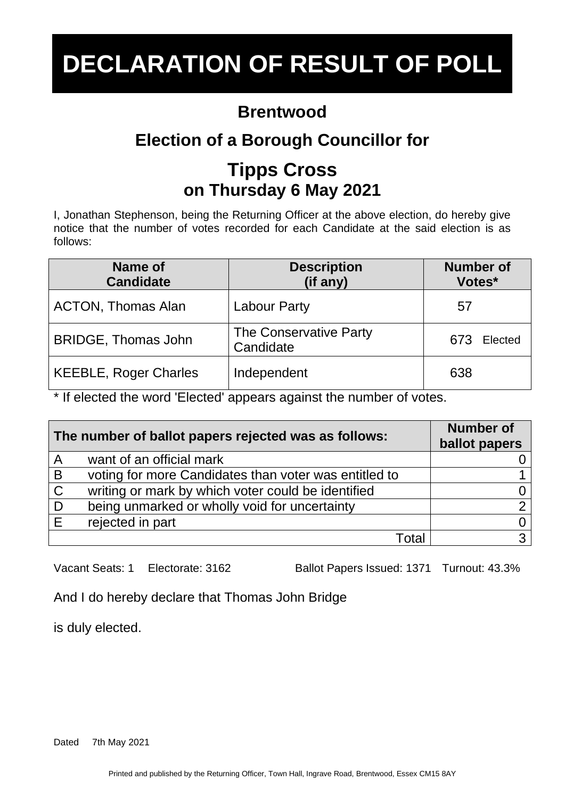### **Brentwood**

# **Election of a Borough Councillor for**

# **Tipps Cross on Thursday 6 May 2021**

I, Jonathan Stephenson, being the Returning Officer at the above election, do hereby give notice that the number of votes recorded for each Candidate at the said election is as follows:

| Name of<br><b>Candidate</b>  | <b>Description</b><br>(if any)      | <b>Number of</b><br>Votes* |
|------------------------------|-------------------------------------|----------------------------|
| <b>ACTON, Thomas Alan</b>    | <b>Labour Party</b>                 | 57                         |
| <b>BRIDGE, Thomas John</b>   | The Conservative Party<br>Candidate | 673<br>Elected             |
| <b>KEEBLE, Roger Charles</b> | Independent                         | 638                        |

\* If elected the word 'Elected' appears against the number of votes.

| The number of ballot papers rejected was as follows: |                                                       | <b>Number of</b><br>ballot papers |
|------------------------------------------------------|-------------------------------------------------------|-----------------------------------|
| $\overline{A}$                                       | want of an official mark                              |                                   |
| B                                                    | voting for more Candidates than voter was entitled to |                                   |
| $\mathsf{C}$                                         | writing or mark by which voter could be identified    |                                   |
| D                                                    | being unmarked or wholly void for uncertainty         | ⌒                                 |
| E                                                    | rejected in part                                      |                                   |
|                                                      | Γ∩tal                                                 | 3                                 |

Vacant Seats: 1 Electorate: 3162 Ballot Papers Issued: 1371 Turnout: 43.3%

And I do hereby declare that Thomas John Bridge

is duly elected.